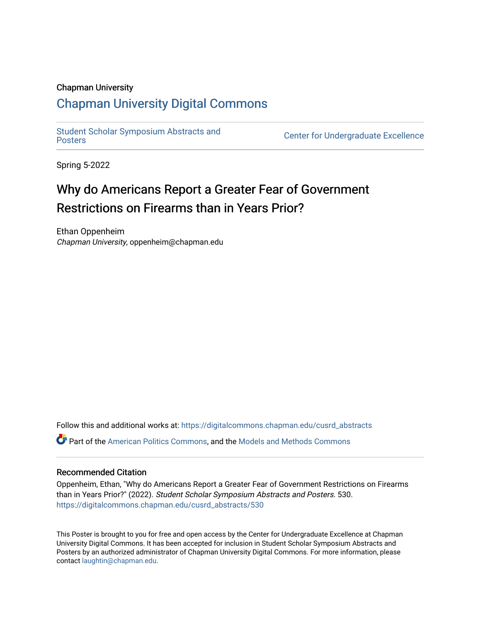### Chapman University

### [Chapman University Digital Commons](https://digitalcommons.chapman.edu/)

[Student Scholar Symposium Abstracts and](https://digitalcommons.chapman.edu/cusrd_abstracts) 

**Center for Undergraduate Excellence** 

Spring 5-2022

### Why do Americans Report a Greater Fear of Government Restrictions on Firearms than in Years Prior?

Ethan Oppenheim Chapman University, oppenheim@chapman.edu

Follow this and additional works at: [https://digitalcommons.chapman.edu/cusrd\\_abstracts](https://digitalcommons.chapman.edu/cusrd_abstracts?utm_source=digitalcommons.chapman.edu%2Fcusrd_abstracts%2F530&utm_medium=PDF&utm_campaign=PDFCoverPages) 

Part of the [American Politics Commons,](http://network.bepress.com/hgg/discipline/387?utm_source=digitalcommons.chapman.edu%2Fcusrd_abstracts%2F530&utm_medium=PDF&utm_campaign=PDFCoverPages) and the [Models and Methods Commons](http://network.bepress.com/hgg/discipline/390?utm_source=digitalcommons.chapman.edu%2Fcusrd_abstracts%2F530&utm_medium=PDF&utm_campaign=PDFCoverPages)

### Recommended Citation

Oppenheim, Ethan, "Why do Americans Report a Greater Fear of Government Restrictions on Firearms than in Years Prior?" (2022). Student Scholar Symposium Abstracts and Posters. 530. [https://digitalcommons.chapman.edu/cusrd\\_abstracts/530](https://digitalcommons.chapman.edu/cusrd_abstracts/530?utm_source=digitalcommons.chapman.edu%2Fcusrd_abstracts%2F530&utm_medium=PDF&utm_campaign=PDFCoverPages) 

This Poster is brought to you for free and open access by the Center for Undergraduate Excellence at Chapman University Digital Commons. It has been accepted for inclusion in Student Scholar Symposium Abstracts and Posters by an authorized administrator of Chapman University Digital Commons. For more information, please contact [laughtin@chapman.edu](mailto:laughtin@chapman.edu).